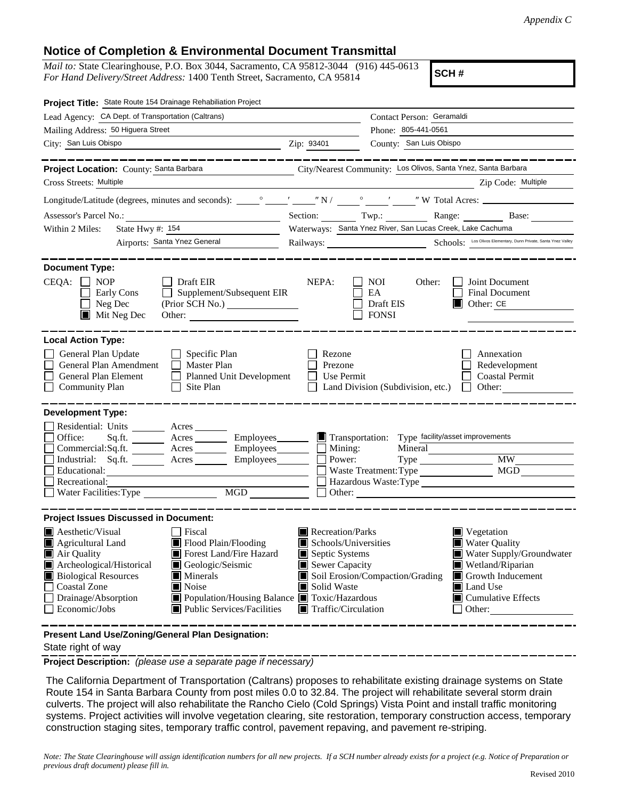## **Notice of Completion & Environmental Document Transmittal**

*Mail to:* State Clearinghouse, P.O. Box 3044, Sacramento, CA 95812-3044 (916) 445-0613 *For Hand Delivery/Street Address:* 1400 Tenth Street, Sacramento, CA 95814

**SCH #**

| Project Title: State Route 154 Drainage Rehabiliation Project                                                                                                                                                                                                                                                                                                                                        |                                                                                                                                        |                                                               |                                                                                                                                                                           |  |  |
|------------------------------------------------------------------------------------------------------------------------------------------------------------------------------------------------------------------------------------------------------------------------------------------------------------------------------------------------------------------------------------------------------|----------------------------------------------------------------------------------------------------------------------------------------|---------------------------------------------------------------|---------------------------------------------------------------------------------------------------------------------------------------------------------------------------|--|--|
| Lead Agency: CA Dept. of Transportation (Caltrans)                                                                                                                                                                                                                                                                                                                                                   | Contact Person: Geramaldi                                                                                                              |                                                               |                                                                                                                                                                           |  |  |
| Mailing Address: 50 Higuera Street                                                                                                                                                                                                                                                                                                                                                                   |                                                                                                                                        | Phone: 805-441-0561<br>County: San Luis Obispo                |                                                                                                                                                                           |  |  |
| City: San Luis Obispo<br><b>Example 2</b> Zip: 93401                                                                                                                                                                                                                                                                                                                                                 |                                                                                                                                        |                                                               |                                                                                                                                                                           |  |  |
| Project Location: County: Santa Barbara                                                                                                                                                                                                                                                                                                                                                              |                                                                                                                                        | City/Nearest Community: Los Olivos, Santa Ynez, Santa Barbara |                                                                                                                                                                           |  |  |
| Cross Streets: Multiple                                                                                                                                                                                                                                                                                                                                                                              |                                                                                                                                        | <u> 1990 - Johann Barbara, martin a</u>                       | Zip Code: Multiple                                                                                                                                                        |  |  |
|                                                                                                                                                                                                                                                                                                                                                                                                      |                                                                                                                                        |                                                               |                                                                                                                                                                           |  |  |
| Assessor's Parcel No.:<br><u> 1989 - Johann Barn, mars ann an t-Amhain Aonaich an t-Aonaich an t-Aonaich ann an t-Aonaich ann an t-Aonaich</u>                                                                                                                                                                                                                                                       |                                                                                                                                        |                                                               | Section: Twp.: Twp.: Range: Base:                                                                                                                                         |  |  |
| State Hwy $\#$ : $154$<br>Within 2 Miles:                                                                                                                                                                                                                                                                                                                                                            | Waterways: Santa Ynez River, San Lucas Creek, Lake Cachuma                                                                             |                                                               |                                                                                                                                                                           |  |  |
| Airports: Santa Ynez General                                                                                                                                                                                                                                                                                                                                                                         | Railways: Schools: Los Olivos Elementary, Dunn Private, Santa Ynez Valley                                                              |                                                               |                                                                                                                                                                           |  |  |
| <b>Document Type:</b>                                                                                                                                                                                                                                                                                                                                                                                |                                                                                                                                        |                                                               |                                                                                                                                                                           |  |  |
| $CEQA: \Box NOP$<br>$\Box$ Draft EIR<br>$\Box$ Supplement/Subsequent EIR<br>Early Cons<br>$\Box$ Neg Dec<br>$\blacksquare$ Mit Neg Dec<br>Other:                                                                                                                                                                                                                                                     | NEPA:                                                                                                                                  | NOI.<br>Other:<br>EA<br>Draft EIS<br><b>FONSI</b>             | Joint Document<br>Final Document<br>$\Box$ Other: CE                                                                                                                      |  |  |
| <b>Local Action Type:</b>                                                                                                                                                                                                                                                                                                                                                                            |                                                                                                                                        |                                                               |                                                                                                                                                                           |  |  |
| General Plan Update<br>Specific Plan<br>General Plan Amendment<br>Master Plan<br>General Plan Element<br>$\perp$<br><b>Planned Unit Development</b><br>Site Plan<br>$\Box$ Community Plan                                                                                                                                                                                                            | Rezone<br>Prezone<br>Use Permit                                                                                                        | Land Division (Subdivision, etc.)                             | Annexation<br>Redevelopment<br><b>Coastal Permit</b><br>Other:<br>$\mathbf{1}$                                                                                            |  |  |
| <b>Development Type:</b><br>Residential: Units ________ Acres ______<br>Office:<br>Sq.ft. _________ Acres __________ Employees________<br>Commercial:Sq.ft. <u>Acres</u> Acres Employees<br>Industrial: Sq.ft. _______ Acres ________ Employees_______<br>Educational:<br>Recreational:<br>$\overline{\text{MGD}}$<br>Water Facilities: Type                                                         | $\Box$ Mining:<br>Power:                                                                                                               | Transportation: Type facility/asset improvements<br>Mineral   | Type MW<br>Hazardous Waste:Type                                                                                                                                           |  |  |
| <b>Project Issues Discussed in Document:</b>                                                                                                                                                                                                                                                                                                                                                         |                                                                                                                                        |                                                               |                                                                                                                                                                           |  |  |
| <b>A</b> esthetic/Visual<br>Fiscal<br>$\blacksquare$ Flood Plain/Flooding<br>Agricultural Land<br>Forest Land/Fire Hazard<br>Air Quality<br>Archeological/Historical<br>Geologic/Seismic<br><b>Biological Resources</b><br><b>Minerals</b><br>Noise<br><b>Coastal Zone</b><br>Drainage/Absorption<br>■ Population/Housing Balance ■ Toxic/Hazardous<br>Economic/Jobs<br>■ Public Services/Facilities | Recreation/Parks<br>Schools/Universities<br>Ш<br>Septic Systems<br>Sewer Capacity<br>Solid Waste<br>$\blacksquare$ Traffic/Circulation | Soil Erosion/Compaction/Grading                               | $\blacksquare$ Vegetation<br><b>Water Quality</b><br>Water Supply/Groundwater<br>Wetland/Riparian<br>Growth Inducement<br>Land Use<br>$\Box$ Cumulative Effects<br>Other: |  |  |

**Present Land Use/Zoning/General Plan Designation:**

State right of way

**Project Description:** *(please use a separate page if necessary)*

 The California Department of Transportation (Caltrans) proposes to rehabilitate existing drainage systems on State Route 154 in Santa Barbara County from post miles 0.0 to 32.84. The project will rehabilitate several storm drain culverts. The project will also rehabilitate the Rancho Cielo (Cold Springs) Vista Point and install traffic monitoring systems. Project activities will involve vegetation clearing, site restoration, temporary construction access, temporary construction staging sites, temporary traffic control, pavement repaving, and pavement re-striping.

*Note: The State Clearinghouse will assign identification numbers for all new projects. If a SCH number already exists for a project (e.g. Notice of Preparation or previous draft document) please fill in.*